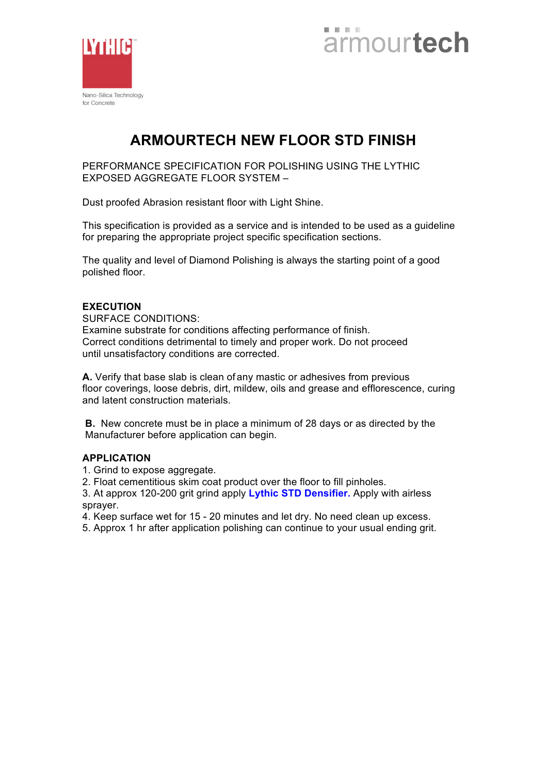



# **ARMOURTECH NEW FLOOR STD FINISH**

PERFORMANCE SPECIFICATION FOR POLISHING USING THE LYTHIC EXPOSED AGGREGATE FLOOR SYSTEM –

Dust proofed Abrasion resistant floor with Light Shine.

This specification is provided as a service and is intended to be used as a guideline for preparing the appropriate project specific specification sections.

The quality and level of Diamond Polishing is always the starting point of a good polished floor.

### **EXECUTION**

SURFACE CONDITIONS: Examine substrate for conditions affecting performance of finish. Correct conditions detrimental to timely and proper work. Do not proceed until unsatisfactory conditions are corrected.

**A.** Verify that base slab is clean of any mastic or adhesives from previous floor coverings, loose debris, dirt, mildew, oils and grease and efflorescence, curing and latent construction materials.

**B.** New concrete must be in place a minimum of 28 days or as directed by the Manufacturer before application can begin.

### **APPLICATION**

1. Grind to expose aggregate.

2. Float cementitious skim coat product over the floor to fill pinholes.

3. At approx 120-200 grit grind apply **Lythic STD Densifier.** Apply with airless sprayer.

4. Keep surface wet for 15 - 20 minutes and let dry. No need clean up excess.

5. Approx 1 hr after application polishing can continue to your usual ending grit.